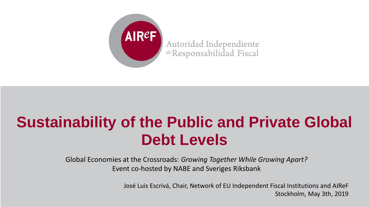

Global Economies at the Crossroads: *Growing Together While Growing Apart?* Event co-hosted by NABE and Sveriges Riksbank

> José Luis Escrivá, Chair, Network of EU Independent Fiscal Institutions and AIReF Stockholm, May 3th, 2019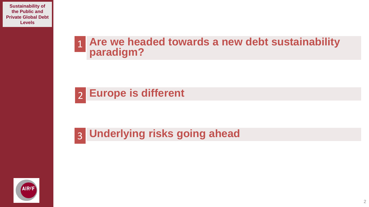#### **Are we headed towards a new debt sustainability paradigm?** 1

# **Europe is different** 2

#### 3 **Underlying risks going ahead**

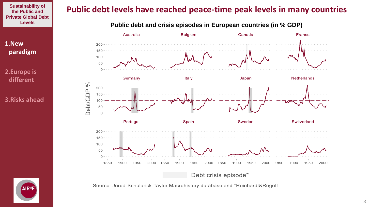**the Public and Private Global Debt** 

**1.New paradigm**

**2.Europe is different**

**3.Risks ahead**



**Levels Public debt and crisis episodes in European countries (in % GDP)**



Source: Jordà-Schularick-Taylor Macrohistory database and \*Reinhardt&Rogoff

AIR<sub>eF</sub>

3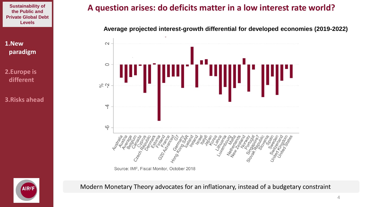**1.New paradigm**

**2.Europe is different**

**3.Risks ahead**

## **A question arises: do deficits matter in a low interest rate world?**

**Average projected interest-growth differential for developed economies (2019-2022)**



Modern Monetary Theory advocates for an inflationary, instead of a budgetary constraint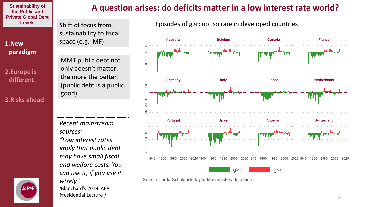**1.New paradigm**

**2.Europe is different**

**3.Risks ahead**



Shift of focus from sustainability to fiscal space (e,g. IMF)

MMT public debt not only doesn't matter: the more the better! (public debt is a public good)

*Recent mainstream sources: "Low interest rates imply that public debt may have small fiscal and welfare costs. You can use it, if you use it wisely" (*Blanchard's 2019 AEA Presidential Lecture *)*

## **A question arises: do deficits matter in a low interest rate world?**



Episodes of g>r: not so rare in developed countries

Source: Jordà-Schularick-Taylor Macrohistory database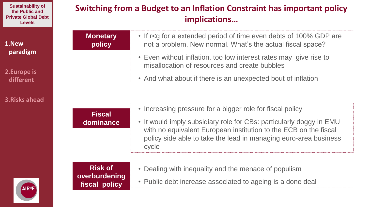| <b>Sustainability of</b>   |
|----------------------------|
| the Public and             |
| <b>Private Global Debt</b> |
| <b>Levels</b>              |

**1.New paradigm**

**2.Europe is different**

**3.Risks ahead**

| implications                                     |                                                                                                                                                                                                                      |
|--------------------------------------------------|----------------------------------------------------------------------------------------------------------------------------------------------------------------------------------------------------------------------|
| <b>Monetary</b><br>policy                        | • If r <g 100%="" a="" are<br="" debts="" even="" extended="" for="" gdp="" of="" period="" time="">not a problem. New normal. What's the actual fiscal space?</g>                                                   |
|                                                  | • Even without inflation, too low interest rates may give rise to<br>misallocation of resources and create bubbles                                                                                                   |
|                                                  | • And what about if there is an unexpected bout of inflation                                                                                                                                                         |
|                                                  |                                                                                                                                                                                                                      |
| <b>Fiscal</b>                                    | • Increasing pressure for a bigger role for fiscal policy                                                                                                                                                            |
| dominance                                        | • It would imply subsidiary role for CBs: particularly doggy in EMU<br>with no equivalent European institution to the ECB on the fiscal<br>policy side able to take the lead in managing euro-area business<br>cycle |
|                                                  |                                                                                                                                                                                                                      |
| <b>Risk of</b><br>overburdening<br>fiscal policy | Dealing with inequality and the menace of populism                                                                                                                                                                   |
|                                                  | • Public debt increase associated to ageing is a done deal                                                                                                                                                           |

**Switching from a Budget to an Inflation Constraint has important policy** 

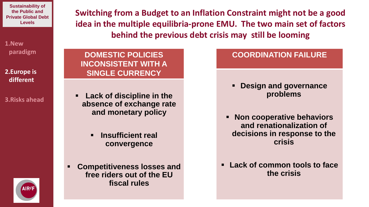**1.New paradigm**

**2.Europe is different**

**3.Risks ahead**

**Switching from a Budget to an Inflation Constraint might not be a good idea in the multiple equilibria-prone EMU. The two main set of factors behind the previous debt crisis may still be looming** 

**DOMESTIC POLICIES INCONSISTENT WITH A SINGLE CURRENCY**

▪ **Lack of discipline in the absence of exchange rate and monetary policy**

> ▪ **Insufficient real convergence**

**Competitiveness losses and free riders out of the EU fiscal rules**

### **COORDINATION FAILURE**

- **Design and governance problems**
- **Non cooperative behaviors and renationalization of decisions in response to the crisis**
- Lack of common tools to face **the crisis**

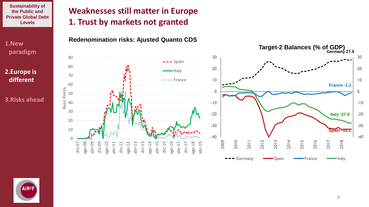**1.New paradigm**

**2.Europe is different**

**3.Risks ahead**

# **Weaknesses still matter in Europe 1. Trust by markets not granted**





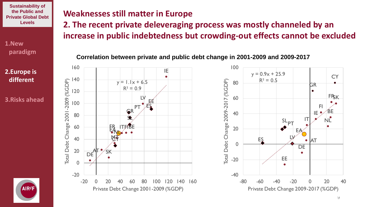**1.New paradigm**

**2.Europe is different**

**3.Risks ahead**



### **Weaknesses still matter in Europe**

**2. The recent private deleveraging process was mostly channeled by an increase in public indebtedness but crowding-out effects cannot be excluded**

**Correlation between private and public debt change in 2001-2009 and 2009-2017**



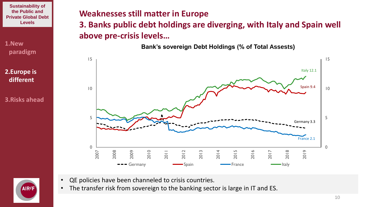**1.New paradigm**

**2.Europe is different**

**3.Risks ahead**

## **Weaknesses still matter in Europe**

**3. Banks public debt holdings are diverging, with Italy and Spain well above pre-crisis levels…**

**Bank's sovereign Debt Holdings (% of Total Assests)**





- QE policies have been channeled to crisis countries.
- The transfer risk from sovereign to the banking sector is large in IT and ES.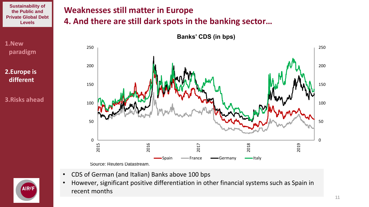**1.New paradigm**

**2.Europe is different**

**3.Risks ahead**



**Banks' CDS (in bps)**

**4. And there are still dark spots in the banking sector…**

Source: Reuters Datastream.

**Weaknesses still matter in Europe**

- CDS of German (and Italian) Banks above 100 bps
- However, significant positive differentiation in other financial systems such as Spain in recent months

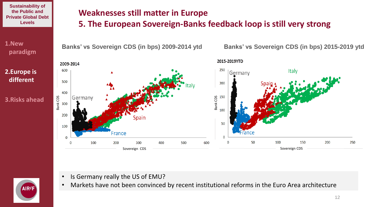**1.New paradigm**

**2.Europe is different**

**3.Risks ahead**

AIRef



**5. The European Sovereign-Banks feedback loop is still very strong** 



- Is Germany really the US of EMU?
- Markets have not been convinced by recent institutional reforms in the Euro Area architecture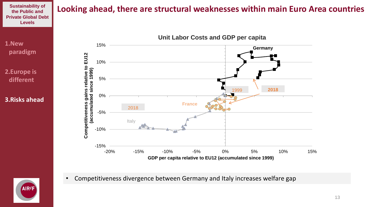#### **the Public and Private Global Debt Levels**

### **1.New paradigm**

**2.Europe is different**

#### **3.Risks ahead**



• Competitiveness divergence between Germany and Italy increases welfare gap



# **Looking ahead, there are structural weaknesses within main Euro Area countries Sustainability of**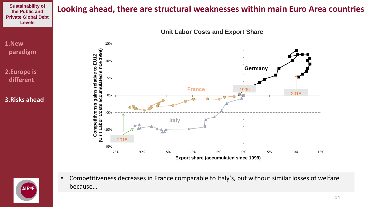# **Looking ahead, there are structural weaknesses within main Euro Area countries Sustainability of**

**Unit Labor Costs and Export Share**



**AIR<sub>eF</sub>** 

**the Public and Private Global Debt Levels**

**1.New** 

**paradigm**

**2.Europe is**

**different**

**3.Risks ahead**

• Competitiveness decreases in France comparable to Italy's, but without similar losses of welfare because…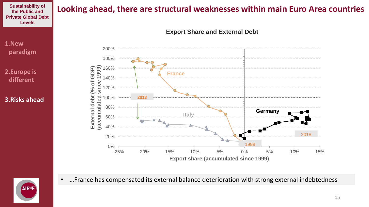#### **the Public and Private Global Debt Levels**

# **Looking ahead, there are structural weaknesses within main Euro Area countries Sustainability of**

**Export Share and External Debt**



**2.Europe is different**

#### **3.Risks ahead**





• …France has compensated its external balance deterioration with strong external indebtedness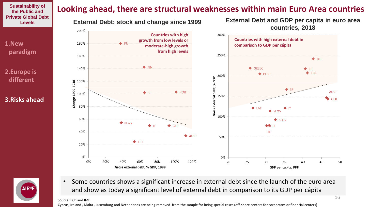**the Public and Private Global Debt Levels**

**1.New paradigm**

**2.Europe is different**

**3.Risks ahead**



◆ BEL  $\blacklozenge$  FIN ♦ GREEC  $\blacklozenge$  FR  $\blacklozenge$  FIN ◆ PORT 200% ĝ debt,%  $\bullet$  SP ◆ PORT **AUST**  $\overline{SD}$ ゠ 150%  $\bigcirc$  GER  $\bigstar$  IAT Gross SLOV 100%  $\blacklozenge$  SLOV  $\triangle$  SLOV  $\blacklozenge$  GER **VEST**  $\blacklozenge$  IT **LIT**  $\triangle$  AUST 50%  $\blacklozenge$  EST 0% 60% 20% 40% 80% 100% 120% 35 20 25 30 40 45 50 Gross external debt, % GDP, 1999 GDP per capita, PPP



• Some countries shows a significant increase in external debt since the launch of the euro area and show as today a significant level of external debt in comparison to its GDP per cápita

#### Source: ECB and IMF

140%

120%

100%

80%

60%

40%

20%

0%

0%

**Change 1999-2018** 

Cyprus, Ireland , Malta , Luxemburg and Netherlands are being removed from the sample for being special cases (off-shore centers for corporates or financial centers)